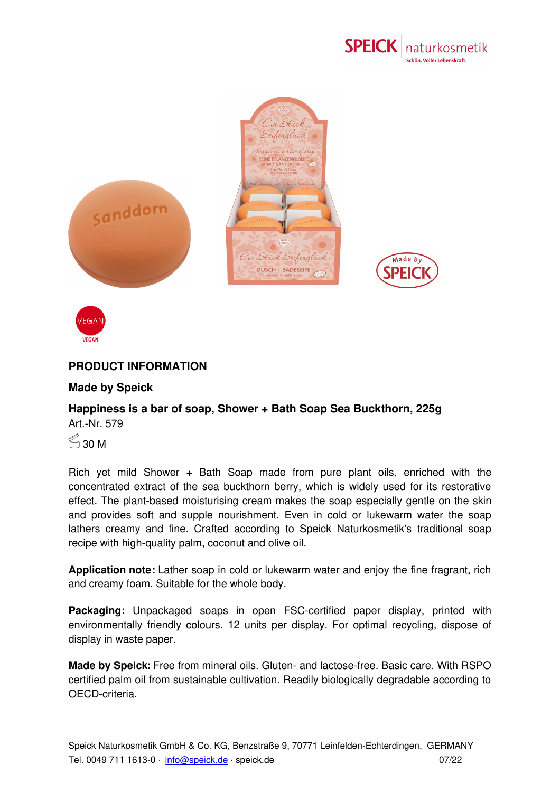



## **PRODUCT INFORMATION**

## **Made by Speick**

## **Happiness is a bar of soap, Shower + Bath Soap Sea Buckthorn, 225g** Art.-Nr. 579

 $\leqslant$  30 M

Rich yet mild Shower + Bath Soap made from pure plant oils, enriched with the concentrated extract of the sea buckthorn berry, which is widely used for its restorative effect. The plant-based moisturising cream makes the soap especially gentle on the skin and provides soft and supple nourishment. Even in cold or lukewarm water the soap lathers creamy and fine. Crafted according to Speick Naturkosmetik's traditional soap recipe with high-quality palm, coconut and olive oil.

**Application note:** Lather soap in cold or lukewarm water and enjoy the fine fragrant, rich and creamy foam. Suitable for the whole body.

**Packaging:** Unpackaged soaps in open FSC-certified paper display, printed with environmentally friendly colours. 12 units per display. For optimal recycling, dispose of display in waste paper.

**Made by Speick:** Free from [miner](mailto:info@speick.de)al oils. Gluten- and lactose-free. Basic care. With RSPO certified palm oil from sustainable cultivation. Readily biologically degradable according to OECD-criteria.